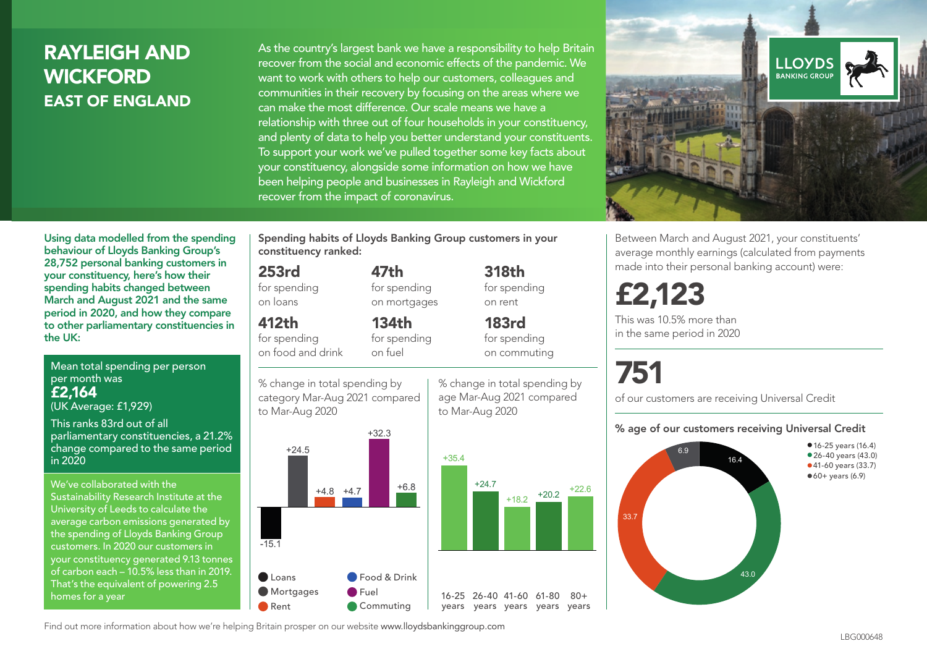## RAYLEIGH AND WICKFORD EAST OF ENGLAND

As the country's largest bank we have a responsibility to help Britain recover from the social and economic effects of the pandemic. We want to work with others to help our customers, colleagues and communities in their recovery by focusing on the areas where we can make the most difference. Our scale means we have a relationship with three out of four households in your constituency, and plenty of data to help you better understand your constituents. To support your work we've pulled together some key facts about your constituency, alongside some information on how we have been helping people and businesses in Rayleigh and Wickford recover from the impact of coronavirus.



Between March and August 2021, your constituents' average monthly earnings (calculated from payments made into their personal banking account) were:

## £2,123

This was 10.5% more than in the same period in 2020

# 751

of our customers are receiving Universal Credit

#### % age of our customers receiving Universal Credit



• 16-25 years (16.4) • 26-40 years (43.0) •41-60 years (33.7)  $•60+ years (6.9)$ 

Using data modelled from the spending behaviour of Lloyds Banking Group's 28,752 personal banking customers in your constituency, here's how their spending habits changed between March and August 2021 and the same period in 2020, and how they compare to other parliamentary constituencies in the UK:

Mean total spending per person per month was £2,164 (UK Average: £1,929)

This ranks 83rd out of all parliamentary constituencies, a 21.2% change compared to the same period in 2020

We've collaborated with the Sustainability Research Institute at the University of Leeds to calculate the average carbon emissions generated by the spending of Lloyds Banking Group customers. In 2020 our customers in your constituency generated 9.13 tonnes of carbon each – 10.5% less than in 2019. That's the equivalent of powering 2.5 homes for a year

Spending habits of Lloyds Banking Group customers in your constituency ranked:

> 47th for spending on mortgages

134th for spending

## 253rd

for spending on loans

## 412th

for spending on food and drink

% change in total spending by category Mar-Aug 2021 compared on fuel



% change in total spending by age Mar-Aug 2021 compared to Mar-Aug 2020

for spending on rent 183rd

 $+18.2$   $+20.2$   $+22.6$ 

 $80 +$ 

for spending on commuting

318th